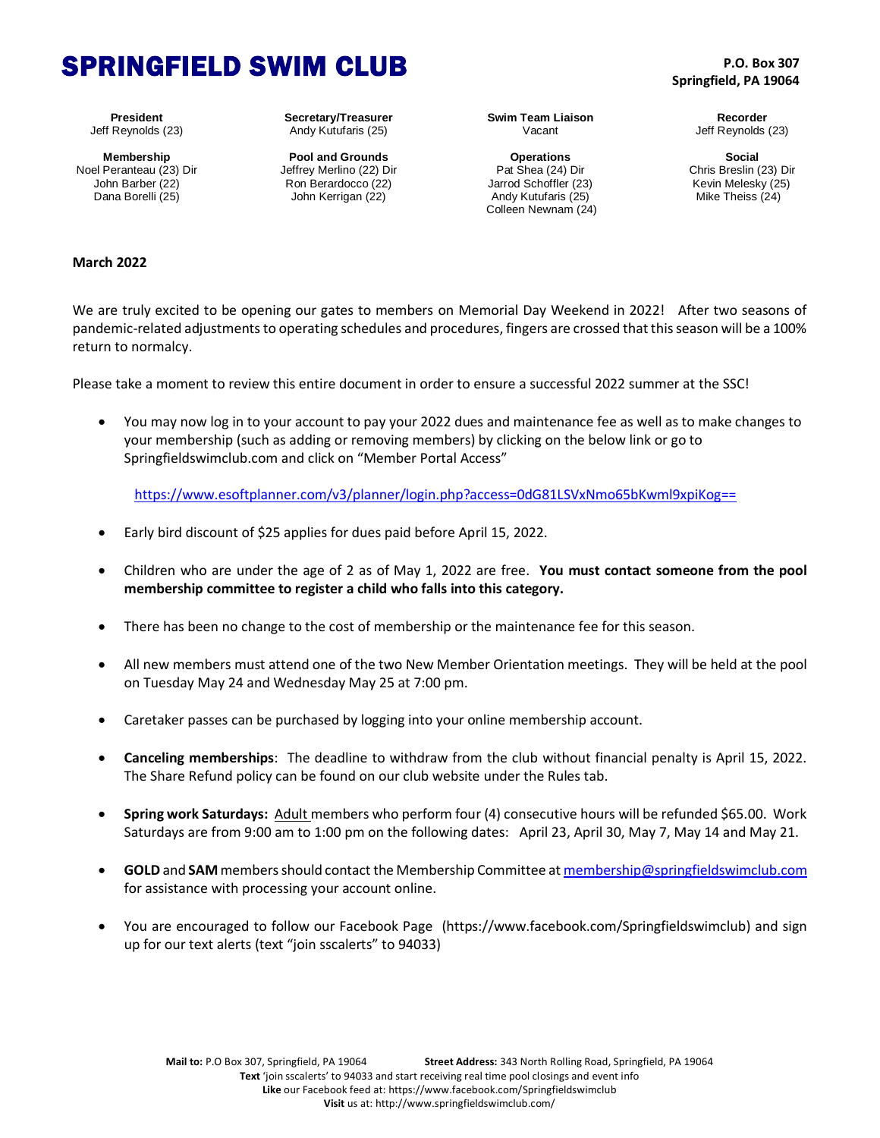## SPRINGFIELD SWIM CLUB

**President** Jeff Reynolds (23)

**Membership** Noel Peranteau (23) Dir John Barber (22) Dana Borelli (25)

**Secretary/Treasurer** Andy Kutufaris (25)

**Pool and Grounds** Jeffrey Merlino (22) Dir Ron Berardocco (22) John Kerrigan (22)

**Swim Team Liaison** Vacant

**Operations** Pat Shea (24) Dir Jarrod Schoffler (23) Andy Kutufaris (25) Colleen Newnam (24)

**P.O. Box 307 Springfield, PA 19064**

> **Recorder** Jeff Reynolds (23)

**Social** Chris Breslin (23) Dir Kevin Melesky (25) Mike Theiss (24)

## **March 2022**

We are truly excited to be opening our gates to members on Memorial Day Weekend in 2022! After two seasons of pandemic-related adjustments to operating schedules and procedures, fingers are crossed that this season will be a 100% return to normalcy.

Please take a moment to review this entire document in order to ensure a successful 2022 summer at the SSC!

 You may now log in to your account to pay your 2022 dues and maintenance fee as well as to make changes to your membership (such as adding or removing members) by clicking on the below link or go to Springfieldswimclub.com and click on "Member Portal Access"

<https://www.esoftplanner.com/v3/planner/login.php?access=0dG81LSVxNmo65bKwml9xpiKog==>

- Early bird discount of \$25 applies for dues paid before April 15, 2022.
- Children who are under the age of 2 as of May 1, 2022 are free. **You must contact someone from the pool membership committee to register a child who falls into this category.**
- There has been no change to the cost of membership or the maintenance fee for this season.
- All new members must attend one of the two New Member Orientation meetings. They will be held at the pool on Tuesday May 24 and Wednesday May 25 at 7:00 pm.
- Caretaker passes can be purchased by logging into your online membership account.
- **Canceling memberships**: The deadline to withdraw from the club without financial penalty is April 15, 2022. The Share Refund policy can be found on our club website under the Rules tab.
- **Spring work Saturdays:** Adult members who perform four (4) consecutive hours will be refunded \$65.00. Work Saturdays are from 9:00 am to 1:00 pm on the following dates: April 23, April 30, May 7, May 14 and May 21.
- **GOLD** and **SAM** members should contact the Membership Committee a[t membership@springfieldswimclub.com](mailto:membership@springfieldswimclub.com) for assistance with processing your account online.
- You are encouraged to follow our Facebook Page (https://www.facebook.com/Springfieldswimclub) and sign up for our text alerts (text "join sscalerts" to 94033)